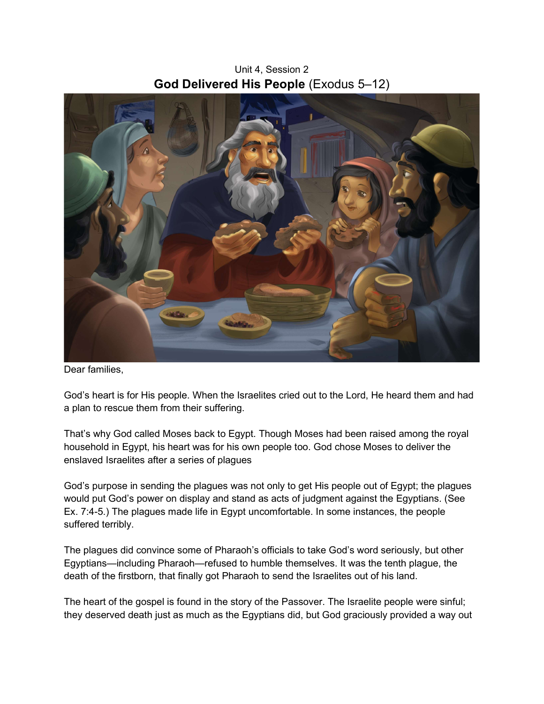Unit 4, Session 2 God Delivered His People (Exodus 5–12)



Dear families,

God's heart is for His people. When the Israelites cried out to the Lord, He heard them and had a plan to rescue them from their suffering.

That's why God called Moses back to Egypt. Though Moses had been raised among the royal household in Egypt, his heart was for his own people too. God chose Moses to deliver the enslaved Israelites after a series of plagues

God's purpose in sending the plagues was not only to get His people out of Egypt; the plagues would put God's power on display and stand as acts of judgment against the Egyptians. (See Ex. 7:4-5.) The plagues made life in Egypt uncomfortable. In some instances, the people suffered terribly.

The plagues did convince some of Pharaoh's officials to take God's word seriously, but other Egyptians—including Pharaoh—refused to humble themselves. It was the tenth plague, the death of the firstborn, that finally got Pharaoh to send the Israelites out of his land.

The heart of the gospel is found in the story of the Passover. The Israelite people were sinful; they deserved death just as much as the Egyptians did, but God graciously provided a way out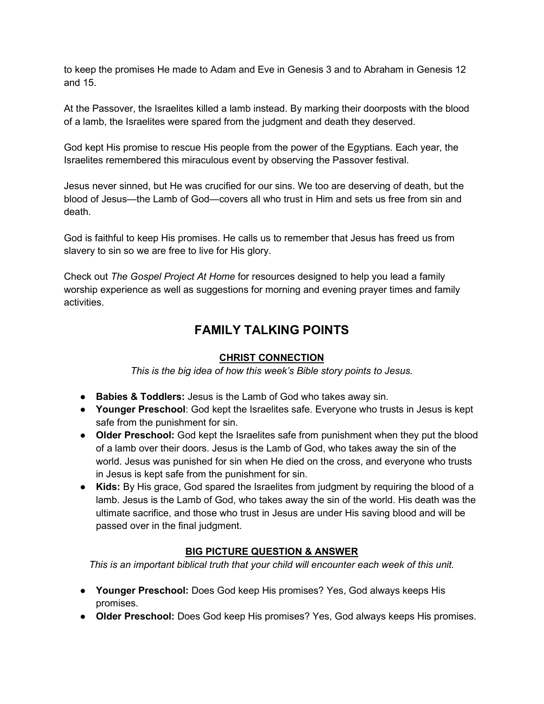to keep the promises He made to Adam and Eve in Genesis 3 and to Abraham in Genesis 12 and 15.

At the Passover, the Israelites killed a lamb instead. By marking their doorposts with the blood of a lamb, the Israelites were spared from the judgment and death they deserved.

God kept His promise to rescue His people from the power of the Egyptians. Each year, the Israelites remembered this miraculous event by observing the Passover festival.

Jesus never sinned, but He was crucified for our sins. We too are deserving of death, but the blood of Jesus—the Lamb of God—covers all who trust in Him and sets us free from sin and death.

God is faithful to keep His promises. He calls us to remember that Jesus has freed us from slavery to sin so we are free to live for His glory.

Check out The Gospel Project At Home for resources designed to help you lead a family worship experience as well as suggestions for morning and evening prayer times and family activities.

## FAMILY TALKING POINTS

## CHRIST CONNECTION

This is the big idea of how this week's Bible story points to Jesus.

- Babies & Toddlers: Jesus is the Lamb of God who takes away sin.
- Younger Preschool: God kept the Israelites safe. Everyone who trusts in Jesus is kept safe from the punishment for sin.
- Older Preschool: God kept the Israelites safe from punishment when they put the blood of a lamb over their doors. Jesus is the Lamb of God, who takes away the sin of the world. Jesus was punished for sin when He died on the cross, and everyone who trusts in Jesus is kept safe from the punishment for sin.
- Kids: By His grace, God spared the Israelites from judgment by requiring the blood of a lamb. Jesus is the Lamb of God, who takes away the sin of the world. His death was the ultimate sacrifice, and those who trust in Jesus are under His saving blood and will be passed over in the final judgment.

## BIG PICTURE QUESTION & ANSWER

This is an important biblical truth that your child will encounter each week of this unit.

- Younger Preschool: Does God keep His promises? Yes, God always keeps His promises.
- Older Preschool: Does God keep His promises? Yes, God always keeps His promises.